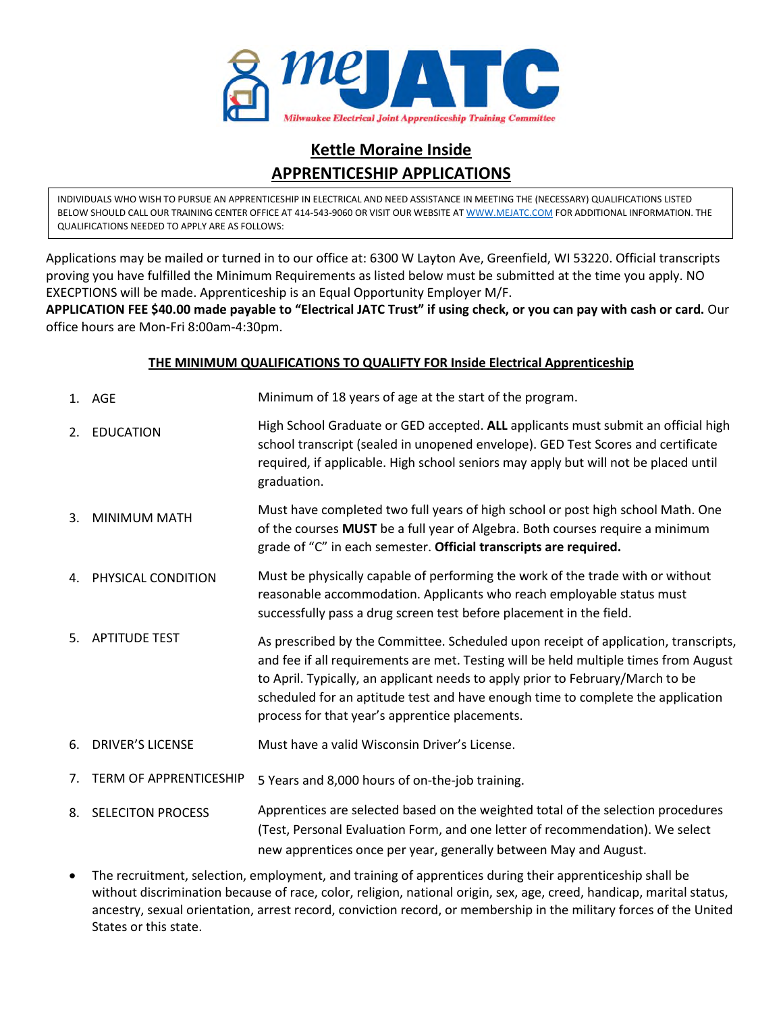

### **Kettle Moraine Inside APPRENTICESHIP APPLICATIONS**

INDIVIDUALS WHO WISH TO PURSUE AN APPRENTICESHIP IN ELECTRICAL AND NEED ASSISTANCE IN MEETING THE (NECESSARY) QUALIFICATIONS LISTED BELOW SHOULD CALL OUR TRAINING CENTER OFFICE AT 414-543-9060 OR VISIT OUR WEBSITE AT WWW.MEJATC.COM FOR ADDITIONAL INFORMATION. THE QUALIFICATIONS NEEDED TO APPLY ARE AS FOLLOWS:

Applications may be mailed or turned in to our office at: 6300 W Layton Ave, Greenfield, WI 53220. Official transcripts proving you have fulfilled the Minimum Requirements as listed below must be submitted at the time you apply. NO EXECPTIONS will be made. Apprenticeship is an Equal Opportunity Employer M/F.

**APPLICATION FEE \$40.00 made payable to "Electrical JATC Trust" if using check, or you can pay with cash or card.** Our office hours are Mon-Fri 8:00am-4:30pm.

#### **THE MINIMUM QUALIFICATIONS TO QUALIFTY FOR Inside Electrical Apprenticeship**

- 1. AGE Minimum of 18 years of age at the start of the program.
- 2. EDUCATION High School Graduate or GED accepted. **ALL** applicants must submit an official high school transcript (sealed in unopened envelope). GED Test Scores and certificate required, if applicable. High school seniors may apply but will not be placed until graduation.
- 3. MINIMUM MATH Must have completed two full years of high school or post high school Math. One of the courses **MUST** be a full year of Algebra. Both courses require a minimum grade of "C" in each semester. **Official transcripts are required.**
- 4. PHYSICAL CONDITION Must be physically capable of performing the work of the trade with or without reasonable accommodation. Applicants who reach employable status must successfully pass a drug screen test before placement in the field.
- 5. APTITUDE TEST As prescribed by the Committee. Scheduled upon receipt of application, transcripts, and fee if all requirements are met. Testing will be held multiple times from August to April. Typically, an applicant needs to apply prior to February/March to be scheduled for an aptitude test and have enough time to complete the application process for that year's apprentice placements.
- 6. DRIVER'S LICENSE Must have a valid Wisconsin Driver's License.
- 7. TERM OF APPRENTICESHIP 5 Years and 8,000 hours of on-the-job training.
- 8. SELECITON PROCESS Apprentices are selected based on the weighted total of the selection procedures (Test, Personal Evaluation Form, and one letter of recommendation). We select new apprentices once per year, generally between May and August.
- The recruitment, selection, employment, and training of apprentices during their apprenticeship shall be without discrimination because of race, color, religion, national origin, sex, age, creed, handicap, marital status, ancestry, sexual orientation, arrest record, conviction record, or membership in the military forces of the United States or this state.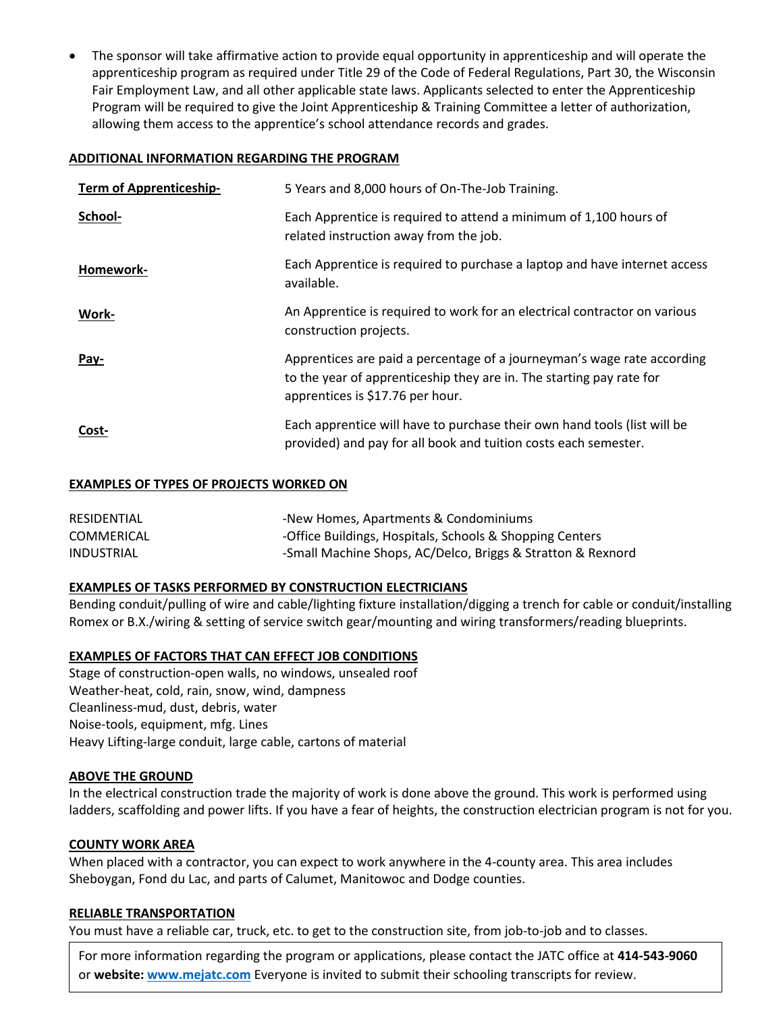The sponsor will take affirmative action to provide equal opportunity in apprenticeship and will operate the apprenticeship program as required under Title 29 of the Code of Federal Regulations, Part 30, the Wisconsin Fair Employment Law, and all other applicable state laws. Applicants selected to enter the Apprenticeship Program will be required to give the Joint Apprenticeship & Training Committee a letter of authorization, allowing them access to the apprentice's school attendance records and grades.

#### **ADDITIONAL INFORMATION REGARDING THE PROGRAM**

| <b>Term of Apprenticeship-</b> | 5 Years and 8,000 hours of On-The-Job Training.                                                                                                                                     |
|--------------------------------|-------------------------------------------------------------------------------------------------------------------------------------------------------------------------------------|
| School-                        | Each Apprentice is required to attend a minimum of 1,100 hours of<br>related instruction away from the job.                                                                         |
| Homework-                      | Each Apprentice is required to purchase a laptop and have internet access<br>available.                                                                                             |
| Work-                          | An Apprentice is required to work for an electrical contractor on various<br>construction projects.                                                                                 |
| <u>Pay-</u>                    | Apprentices are paid a percentage of a journeyman's wage rate according<br>to the year of apprenticeship they are in. The starting pay rate for<br>apprentices is \$17.76 per hour. |
| Cost-                          | Each apprentice will have to purchase their own hand tools (list will be<br>provided) and pay for all book and tuition costs each semester.                                         |

#### **EXAMPLES OF TYPES OF PROJECTS WORKED ON**

| RESIDENTIAL | -New Homes, Apartments & Condominiums                       |
|-------------|-------------------------------------------------------------|
| COMMERICAL  | -Office Buildings, Hospitals, Schools & Shopping Centers    |
| INDUSTRIAL  | -Small Machine Shops, AC/Delco, Briggs & Stratton & Rexnord |

#### **EXAMPLES OF TASKS PERFORMED BY CONSTRUCTION ELECTRICIANS**

Bending conduit/pulling of wire and cable/lighting fixture installation/digging a trench for cable or conduit/installing Romex or B.X./wiring & setting of service switch gear/mounting and wiring transformers/reading blueprints.

#### **EXAMPLES OF FACTORS THAT CAN EFFECT JOB CONDITIONS**

Stage of construction-open walls, no windows, unsealed roof Weather-heat, cold, rain, snow, wind, dampness Cleanliness-mud, dust, debris, water Noise-tools, equipment, mfg. Lines Heavy Lifting-large conduit, large cable, cartons of material

#### **ABOVE THE GROUND**

In the electrical construction trade the majority of work is done above the ground. This work is performed using ladders, scaffolding and power lifts. If you have a fear of heights, the construction electrician program is not for you.

#### **COUNTY WORK AREA**

When placed with a contractor, you can expect to work anywhere in the 4-county area. This area includes Sheboygan, Fond du Lac, and parts of Calumet, Manitowoc and Dodge counties.

#### **RELIABLE TRANSPORTATION**

You must have a reliable car, truck, etc. to get to the construction site, from job-to-job and to classes.

For more information regarding the program or applications, please contact the JATC office at **414-543-9060** or **website: www.mejatc.com** Everyone is invited to submit their schooling transcripts for review.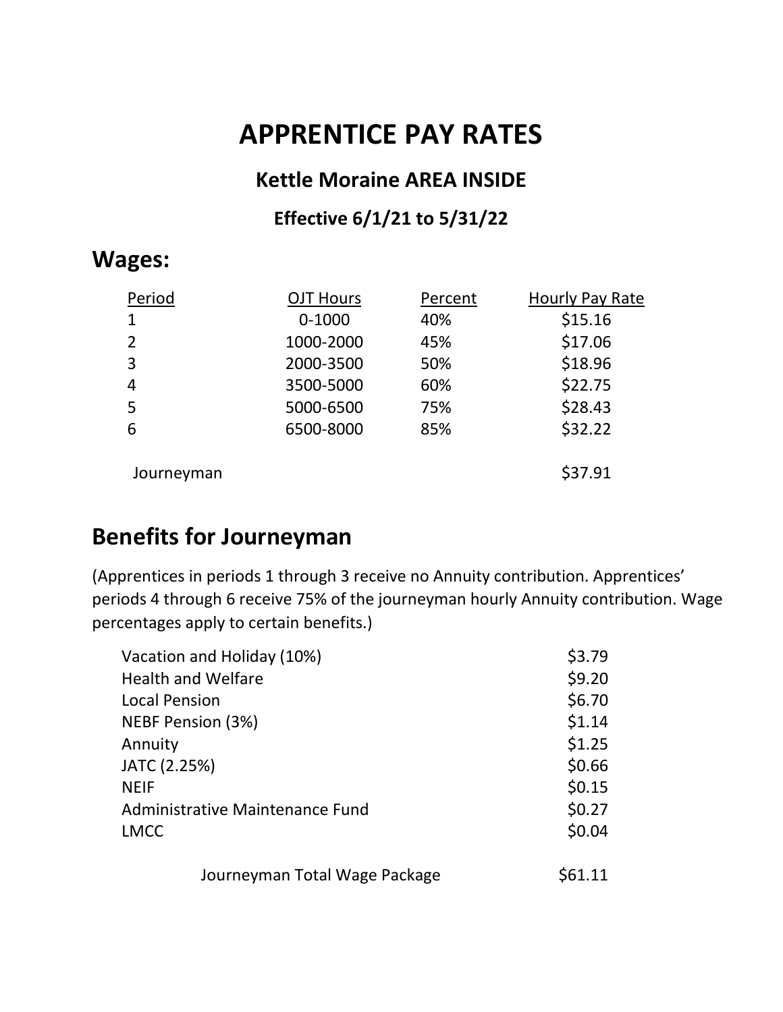# **APPRENTICE PAY RATES**

### **Kettle Moraine AREA INSIDE**

## **Effective 6/1/21 to 5/31/22**

# **Wages:**

| Period         | <b>OJT Hours</b> | Percent | Hourly Pay Rate |
|----------------|------------------|---------|-----------------|
| 1              | $0 - 1000$       | 40%     | \$15.16         |
| 2              | 1000-2000        | 45%     | \$17.06         |
| 3              | 2000-3500        | 50%     | \$18.96         |
| $\overline{4}$ | 3500-5000        | 60%     | \$22.75         |
| 5              | 5000-6500        | 75%     | \$28.43         |
| 6              | 6500-8000        | 85%     | \$32.22         |
| Journeyman     |                  |         | \$37.91         |

# **Benefits for Journeyman**

(Apprentices in periods 1 through 3 receive no Annuity contribution. Apprentices' periods 4 through 6 receive 75% of the journeyman hourly Annuity contribution. Wage percentages apply to certain benefits.)

| Vacation and Holiday (10%)             | \$3.79  |
|----------------------------------------|---------|
| <b>Health and Welfare</b>              | \$9.20  |
| <b>Local Pension</b>                   | \$6.70  |
| NEBF Pension (3%)                      | \$1.14  |
| Annuity                                | \$1.25  |
| JATC (2.25%)                           | \$0.66  |
| <b>NEIF</b>                            | \$0.15  |
| <b>Administrative Maintenance Fund</b> | \$0.27  |
| <b>LMCC</b>                            | \$0.04  |
| Journeyman Total Wage Package          | \$61.11 |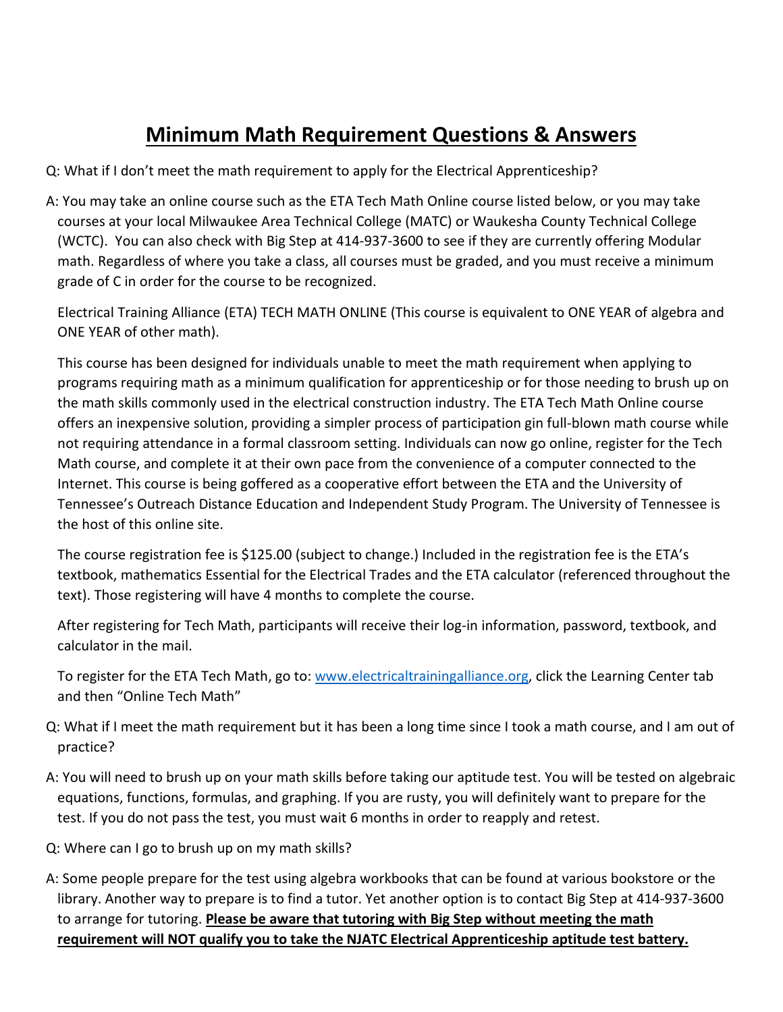# **Minimum Math Requirement Questions & Answers**

Q: What if I don't meet the math requirement to apply for the Electrical Apprenticeship?

A: You may take an online course such as the ETA Tech Math Online course listed below, or you may take courses at your local Milwaukee Area Technical College (MATC) or Waukesha County Technical College (WCTC). You can also check with Big Step at 414-937-3600 to see if they are currently offering Modular math. Regardless of where you take a class, all courses must be graded, and you must receive a minimum grade of C in order for the course to be recognized.

 Electrical Training Alliance (ETA) TECH MATH ONLINE (This course is equivalent to ONE YEAR of algebra and ONE YEAR of other math).

 This course has been designed for individuals unable to meet the math requirement when applying to programs requiring math as a minimum qualification for apprenticeship or for those needing to brush up on the math skills commonly used in the electrical construction industry. The ETA Tech Math Online course offers an inexpensive solution, providing a simpler process of participation gin full-blown math course while not requiring attendance in a formal classroom setting. Individuals can now go online, register for the Tech Math course, and complete it at their own pace from the convenience of a computer connected to the Internet. This course is being goffered as a cooperative effort between the ETA and the University of Tennessee's Outreach Distance Education and Independent Study Program. The University of Tennessee is the host of this online site.

 The course registration fee is \$125.00 (subject to change.) Included in the registration fee is the ETA's textbook, mathematics Essential for the Electrical Trades and the ETA calculator (referenced throughout the text). Those registering will have 4 months to complete the course.

 After registering for Tech Math, participants will receive their log-in information, password, textbook, and calculator in the mail.

 To register for the ETA Tech Math, go to: www.electricaltrainingalliance.org, click the Learning Center tab and then "Online Tech Math"

- Q: What if I meet the math requirement but it has been a long time since I took a math course, and I am out of practice?
- A: You will need to brush up on your math skills before taking our aptitude test. You will be tested on algebraic equations, functions, formulas, and graphing. If you are rusty, you will definitely want to prepare for the test. If you do not pass the test, you must wait 6 months in order to reapply and retest.
- Q: Where can I go to brush up on my math skills?
- A: Some people prepare for the test using algebra workbooks that can be found at various bookstore or the library. Another way to prepare is to find a tutor. Yet another option is to contact Big Step at 414-937-3600 to arrange for tutoring. **Please be aware that tutoring with Big Step without meeting the math requirement will NOT qualify you to take the NJATC Electrical Apprenticeship aptitude test battery.**